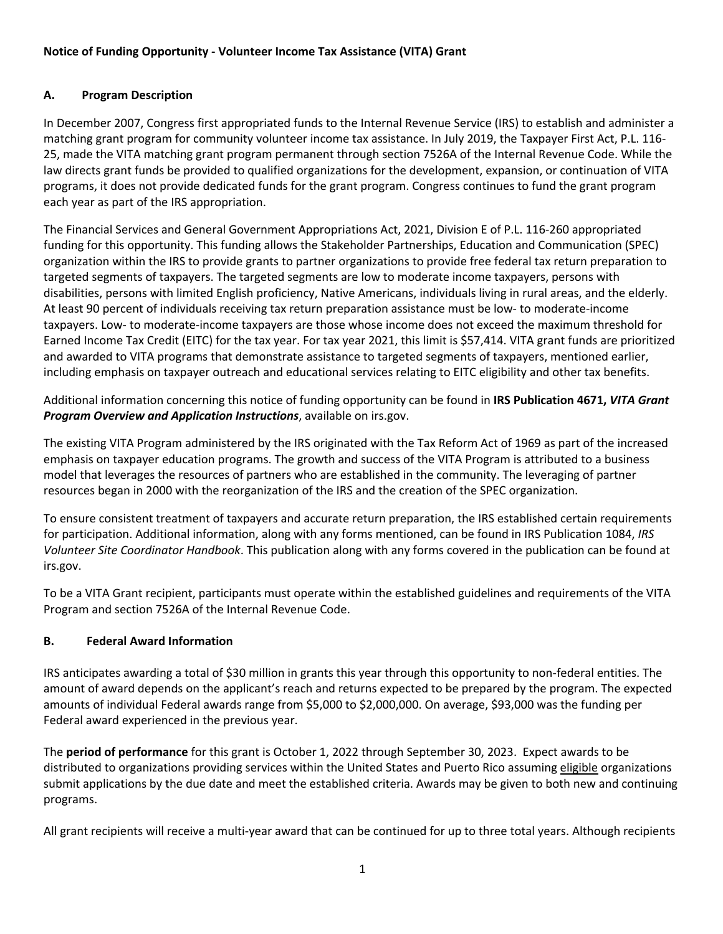### **Notice of Funding Opportunity - Volunteer Income Tax Assistance (VITA) Grant**

### **A. Program Description**

In December 2007, Congress first appropriated funds to the Internal Revenue Service (IRS) to establish and administer a matching grant program for community volunteer income tax assistance. In July 2019, the Taxpayer First Act, P.L. 116- 25, made the VITA matching grant program permanent through section 7526A of the Internal Revenue Code. While the law directs grant funds be provided to qualified organizations for the development, expansion, or continuation of VITA programs, it does not provide dedicated funds for the grant program. Congress continues to fund the grant program each year as part of the IRS appropriation.

The Financial Services and General Government Appropriations Act, 2021, Division E of P.L. 116-260 appropriated funding for this opportunity. This funding allows the Stakeholder Partnerships, Education and Communication (SPEC) organization within the IRS to provide grants to partner organizations to provide free federal tax return preparation to targeted segments of taxpayers. The targeted segments are low to moderate income taxpayers, persons with disabilities, persons with limited English proficiency, Native Americans, individuals living in rural areas, and the elderly. At least 90 percent of individuals receiving tax return preparation assistance must be low- to moderate-income taxpayers. Low- to moderate-income taxpayers are those whose income does not exceed the maximum threshold for Earned Income Tax Credit (EITC) for the tax year. For tax year 2021, this limit is \$57,414. VITA grant funds are prioritized and awarded to VITA programs that demonstrate assistance to targeted segments of taxpayers, mentioned earlier, including emphasis on taxpayer outreach and educational services relating to EITC eligibility and other tax benefits.

Additional information concerning this notice of funding opportunity can be found in **IRS Publication 4671,** *VITA Grant Program Overview and Application Instructions*, available on irs.gov.

The existing VITA Program administered by the IRS originated with the Tax Reform Act of 1969 as part of the increased emphasis on taxpayer education programs. The growth and success of the VITA Program is attributed to a business model that leverages the resources of partners who are established in the community. The leveraging of partner resources began in 2000 with the reorganization of the IRS and the creation of the SPEC organization.

To ensure consistent treatment of taxpayers and accurate return preparation, the IRS established certain requirements for participation. Additional information, along with any forms mentioned, can be found in IRS Publication 1084, *IRS Volunteer Site Coordinator Handbook*. This publication along with any forms covered in the publication can be found at irs.gov.

To be a VITA Grant recipient, participants must operate within the established guidelines and requirements of the VITA Program and section 7526A of the Internal Revenue Code.

### **B. Federal Award Information**

IRS anticipates awarding a total of \$30 million in grants this year through this opportunity to non-federal entities. The amount of award depends on the applicant's reach and returns expected to be prepared by the program. The expected amounts of individual Federal awards range from \$5,000 to \$2,000,000. On average, \$93,000 was the funding per Federal award experienced in the previous year.

The **period of performance** for this grant is October 1, 2022 through September 30, 2023. Expect awards to be distributed to organizations providing services within the United States and Puerto Rico assuming eligible organizations submit applications by the due date and meet the established criteria. Awards may be given to both new and continuing programs.

All grant recipients will receive a multi-year award that can be continued for up to three total years. Although recipients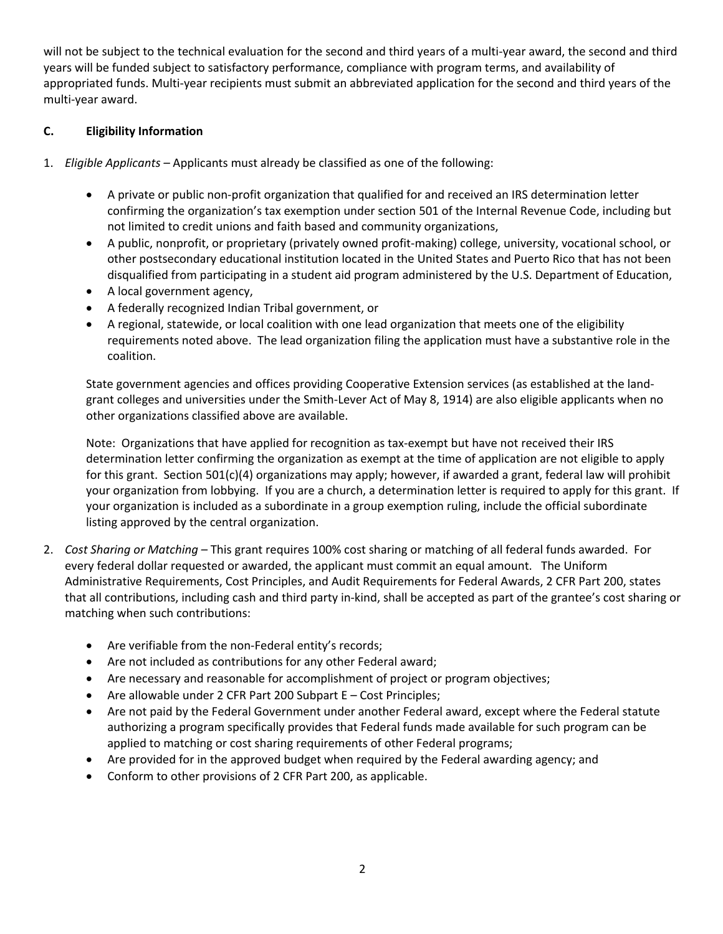will not be subject to the technical evaluation for the second and third years of a multi-year award, the second and third years will be funded subject to satisfactory performance, compliance with program terms, and availability of appropriated funds. Multi-year recipients must submit an abbreviated application for the second and third years of the multi-year award.

### **C. Eligibility Information**

- 1. *Eligible Applicants –* Applicants must already be classified as one of the following:
	- A private or public non-profit organization that qualified for and received an IRS determination letter confirming the organization's tax exemption under section 501 of the Internal Revenue Code, including but not limited to credit unions and faith based and community organizations,
	- A public, nonprofit, or proprietary (privately owned profit-making) college, university, vocational school, or other postsecondary educational institution located in the United States and Puerto Rico that has not been disqualified from participating in a student aid program administered by the U.S. Department of Education,
	- A local government agency,
	- A federally recognized Indian Tribal government, or
	- A regional, statewide, or local coalition with one lead organization that meets one of the eligibility requirements noted above. The lead organization filing the application must have a substantive role in the coalition.

State government agencies and offices providing Cooperative Extension services (as established at the landgrant colleges and universities under the Smith-Lever Act of May 8, 1914) are also eligible applicants when no other organizations classified above are available.

Note: Organizations that have applied for recognition as tax-exempt but have not received their IRS determination letter confirming the organization as exempt at the time of application are not eligible to apply for this grant. Section 501(c)(4) organizations may apply; however, if awarded a grant, federal law will prohibit your organization from lobbying. If you are a church, a determination letter is required to apply for this grant. If your organization is included as a subordinate in a group exemption ruling, include the official subordinate listing approved by the central organization.

- 2. *Cost Sharing or Matching –* This grant requires 100% cost sharing or matching of all federal funds awarded. For every federal dollar requested or awarded, the applicant must commit an equal amount. The Uniform Administrative Requirements, Cost Principles, and Audit Requirements for Federal Awards, 2 CFR Part 200, states that all contributions, including cash and third party in-kind, shall be accepted as part of the grantee's cost sharing or matching when such contributions:
	- Are verifiable from the non-Federal entity's records;
	- Are not included as contributions for any other Federal award;
	- Are necessary and reasonable for accomplishment of project or program objectives;
	- Are allowable under 2 CFR Part 200 Subpart E Cost Principles;
	- Are not paid by the Federal Government under another Federal award, except where the Federal statute authorizing a program specifically provides that Federal funds made available for such program can be applied to matching or cost sharing requirements of other Federal programs;
	- Are provided for in the approved budget when required by the Federal awarding agency; and
	- Conform to other provisions of 2 CFR Part 200, as applicable.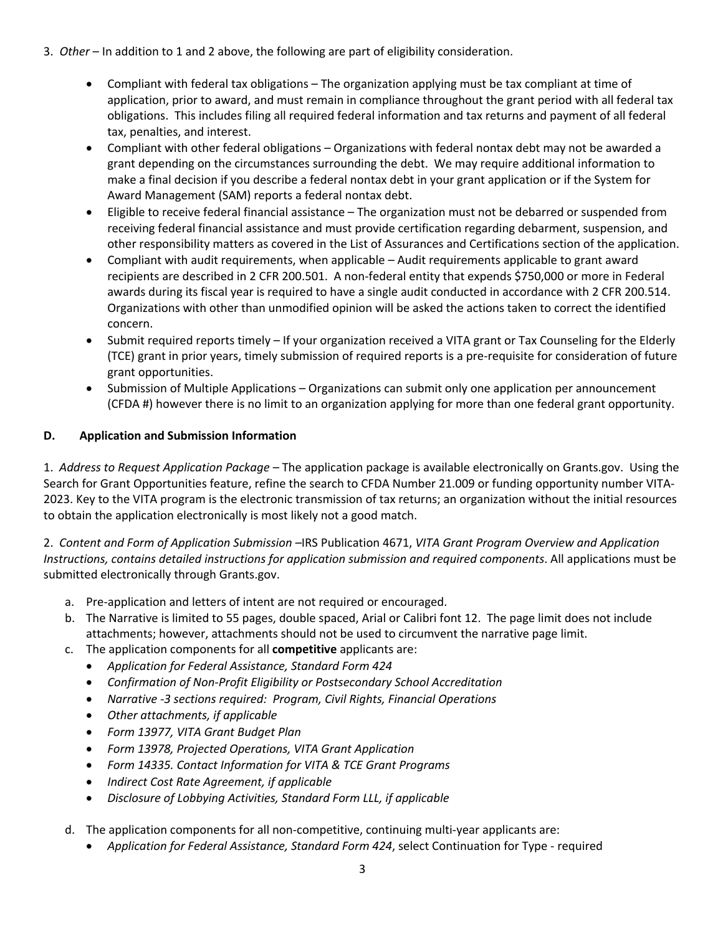- 3. *Other* In addition to 1 and 2 above, the following are part of eligibility consideration.
	- Compliant with federal tax obligations The organization applying must be tax compliant at time of application, prior to award, and must remain in compliance throughout the grant period with all federal tax obligations. This includes filing all required federal information and tax returns and payment of all federal tax, penalties, and interest.
	- Compliant with other federal obligations Organizations with federal nontax debt may not be awarded a grant depending on the circumstances surrounding the debt. We may require additional information to make a final decision if you describe a federal nontax debt in your grant application or if the System for Award Management (SAM) reports a federal nontax debt.
	- Eligible to receive federal financial assistance The organization must not be debarred or suspended from receiving federal financial assistance and must provide certification regarding debarment, suspension, and other responsibility matters as covered in the List of Assurances and Certifications section of the application.
	- Compliant with audit requirements, when applicable Audit requirements applicable to grant award recipients are described in 2 CFR 200.501. A non-federal entity that expends \$750,000 or more in Federal awards during its fiscal year is required to have a single audit conducted in accordance with 2 CFR 200.514. Organizations with other than unmodified opinion will be asked the actions taken to correct the identified concern.
	- Submit required reports timely If your organization received a VITA grant or Tax Counseling for the Elderly (TCE) grant in prior years, timely submission of required reports is a pre-requisite for consideration of future grant opportunities.
	- Submission of Multiple Applications Organizations can submit only one application per announcement (CFDA #) however there is no limit to an organization applying for more than one federal grant opportunity.

## **D. Application and Submission Information**

1. *Address to Request Application Package –* The application package is available electronically on Grants.gov. Using the Search for Grant Opportunities feature, refine the search to CFDA Number 21.009 or funding opportunity number VITA-2023. Key to the VITA program is the electronic transmission of tax returns; an organization without the initial resources to obtain the application electronically is most likely not a good match.

2. *Content and Form of Application Submission –*IRS Publication 4671, *VITA Grant Program Overview and Application Instructions, contains detailed instructions for application submission and required components*. All applications must be submitted electronically through Grants.gov.

- a. Pre-application and letters of intent are not required or encouraged.
- b. The Narrative is limited to 55 pages, double spaced, Arial or Calibri font 12. The page limit does not include attachments; however, attachments should not be used to circumvent the narrative page limit.
- c. The application components for all **competitive** applicants are:
	- *Application for Federal Assistance, Standard Form 424*
	- *Confirmation of Non-Profit Eligibility or Postsecondary School Accreditation*
	- *Narrative -3 sections required: Program, Civil Rights, Financial Operations*
	- *Other attachments, if applicable*
	- *Form 13977, VITA Grant Budget Plan*
	- *Form 13978, Projected Operations, VITA Grant Application*
	- *Form 14335. Contact Information for VITA & TCE Grant Programs*
	- *Indirect Cost Rate Agreement, if applicable*
	- *Disclosure of Lobbying Activities, Standard Form LLL, if applicable*
- d. The application components for all non-competitive, continuing multi-year applicants are:
	- *Application for Federal Assistance, Standard Form 424*, select Continuation for Type required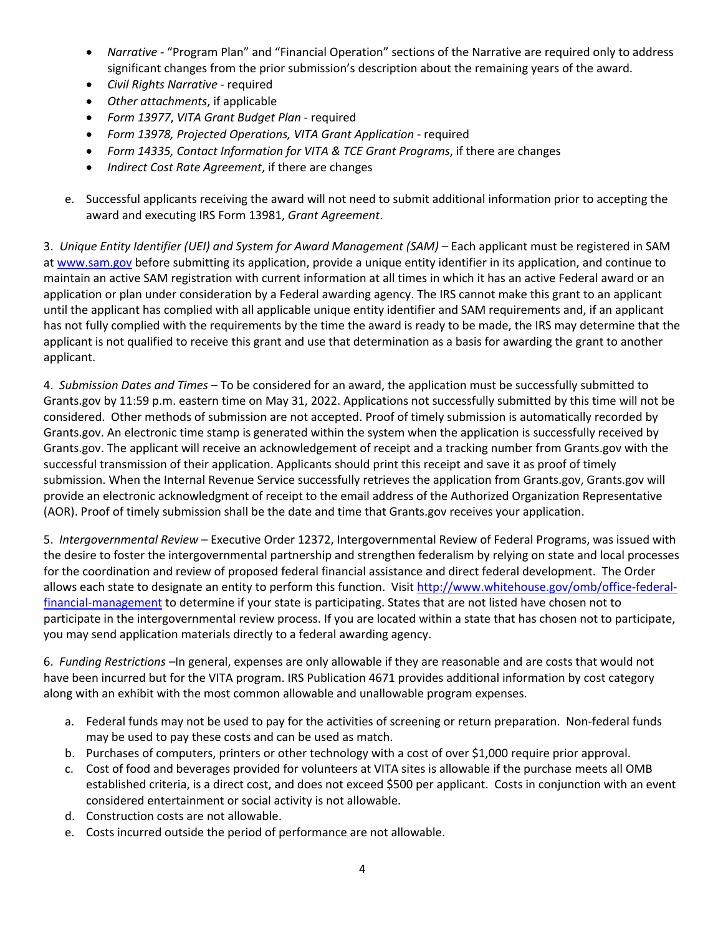- *Narrative* "Program Plan" and "Financial Operation" sections of the Narrative are required only to address significant changes from the prior submission's description about the remaining years of the award.
- *Civil Rights Narrative* required
- *Other attachments*, if applicable
- *Form 13977*, *VITA Grant Budget Plan* required
- *Form 13978, Projected Operations, VITA Grant Application* required
- *Form 14335, Contact Information for VITA & TCE Grant Programs*, if there are changes
- *Indirect Cost Rate Agreement*, if there are changes
- e. Successful applicants receiving the award will not need to submit additional information prior to accepting the award and executing IRS Form 13981, *Grant Agreement*.

3. *Unique Entity Identifier (UEI) and System for Award Management (SAM) –* Each applicant must be registered in SAM at www.sam.gov before submitting its application, provide a unique entity identifier in its application, and continue to maintain an active SAM registration with current information at all times in which it has an active Federal award or an application or plan under consideration by a Federal awarding agency. The IRS cannot make this grant to an applicant until the applicant has complied with all applicable unique entity identifier and SAM requirements and, if an applicant has not fully complied with the requirements by the time the award is ready to be made, the IRS may determine that the applicant is not qualified to receive this grant and use that determination as a basis for awarding the grant to another applicant.

4. *Submission Dates and Times –* To be considered for an award, the application must be successfully submitted to Grants.gov by 11:59 p.m. eastern time on May 31, 2022. Applications not successfully submitted by this time will not be considered. Other methods of submission are not accepted. Proof of timely submission is automatically recorded by Grants.gov. An electronic time stamp is generated within the system when the application is successfully received by Grants.gov. The applicant will receive an acknowledgement of receipt and a tracking number from Grants.gov with the successful transmission of their application. Applicants should print this receipt and save it as proof of timely submission. When the Internal Revenue Service successfully retrieves the application from Grants.gov, Grants.gov will provide an electronic acknowledgment of receipt to the email address of the Authorized Organization Representative (AOR). Proof of timely submission shall be the date and time that Grants.gov receives your application.

5. *Intergovernmental Review –* Executive Order 12372, Intergovernmental Review of Federal Programs, was issued with the desire to foster the intergovernmental partnership and strengthen federalism by relying on state and local processes for the coordination and review of proposed federal financial assistance and direct federal development. The Order allows each state to designate an entity to perform this function. Visit http://www.whitehouse.gov/omb/office-federalfinancial-management to determine if your state is participating. States that are not listed have chosen not to participate in the intergovernmental review process. If you are located within a state that has chosen not to participate, you may send application materials directly to a federal awarding agency.

6. *Funding Restrictions –*In general, expenses are only allowable if they are reasonable and are costs that would not have been incurred but for the VITA program. IRS Publication 4671 provides additional information by cost category along with an exhibit with the most common allowable and unallowable program expenses.

- a. Federal funds may not be used to pay for the activities of screening or return preparation. Non-federal funds may be used to pay these costs and can be used as match.
- b. Purchases of computers, printers or other technology with a cost of over \$1,000 require prior approval.
- c. Cost of food and beverages provided for volunteers at VITA sites is allowable if the purchase meets all OMB established criteria, is a direct cost, and does not exceed \$500 per applicant. Costs in conjunction with an event considered entertainment or social activity is not allowable.
- d. Construction costs are not allowable.
- e. Costs incurred outside the period of performance are not allowable.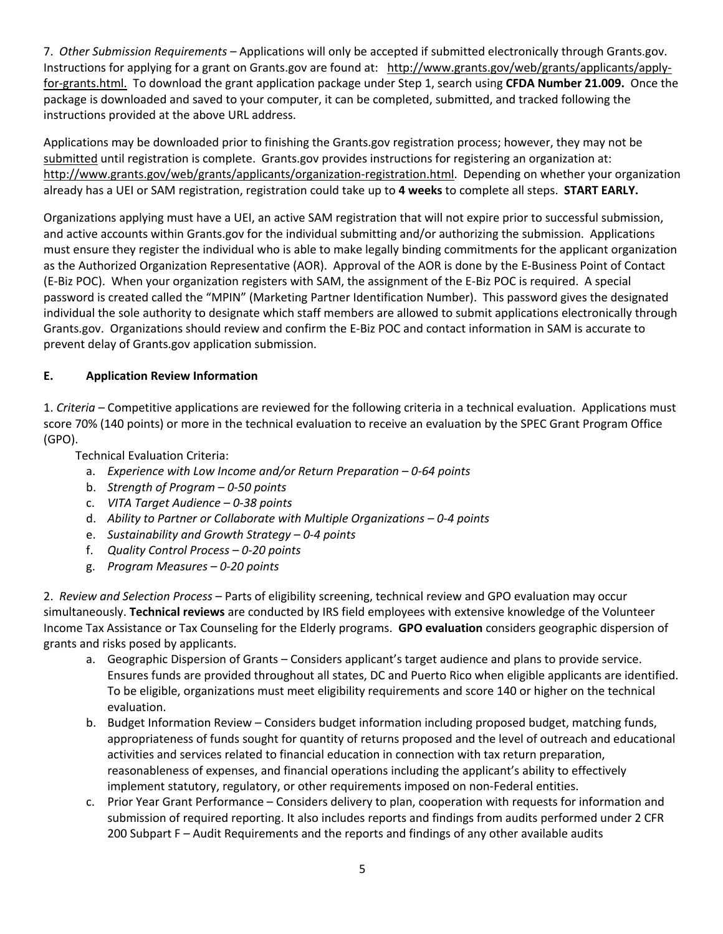7. *Other Submission Requirements –* Applications will only be accepted if submitted electronically through Grants.gov. Instructions for applying for a grant on Grants.gov are found at: http://www.grants.gov/web/grants/applicants/applyfor-grants.html. To download the grant application package under Step 1, search using **CFDA Number 21.009.** Once the package is downloaded and saved to your computer, it can be completed, submitted, and tracked following the instructions provided at the above URL address.

Applications may be downloaded prior to finishing the Grants.gov registration process; however, they may not be submitted until registration is complete. Grants.gov provides instructions for registering an organization at: http://www.grants.gov/web/grants/applicants/organization-registration.html. Depending on whether your organization already has a UEI or SAM registration, registration could take up to **4 weeks** to complete all steps. **START EARLY.**

Organizations applying must have a UEI, an active SAM registration that will not expire prior to successful submission, and active accounts within Grants.gov for the individual submitting and/or authorizing the submission. Applications must ensure they register the individual who is able to make legally binding commitments for the applicant organization as the Authorized Organization Representative (AOR). Approval of the AOR is done by the E-Business Point of Contact (E-Biz POC). When your organization registers with SAM, the assignment of the E-Biz POC is required. A special password is created called the "MPIN" (Marketing Partner Identification Number). This password gives the designated individual the sole authority to designate which staff members are allowed to submit applications electronically through Grants.gov. Organizations should review and confirm the E-Biz POC and contact information in SAM is accurate to prevent delay of Grants.gov application submission.

## **E. Application Review Information**

1. *Criteria –* Competitive applications are reviewed for the following criteria in a technical evaluation. Applications must score 70% (140 points) or more in the technical evaluation to receive an evaluation by the SPEC Grant Program Office (GPO).

Technical Evaluation Criteria:

- a. *Experience with Low Income and/or Return Preparation – 0-64 points*
- b. *Strength of Program – 0-50 points*
- c. *VITA Target Audience – 0-38 points*
- d. *Ability to Partner or Collaborate with Multiple Organizations – 0-4 points*
- e. *Sustainability and Growth Strategy – 0-4 points*
- f. *Quality Control Process – 0-20 points*
- g. *Program Measures – 0-20 points*

2. *Review and Selection Process* – Parts of eligibility screening, technical review and GPO evaluation may occur simultaneously. **Technical reviews** are conducted by IRS field employees with extensive knowledge of the Volunteer Income Tax Assistance or Tax Counseling for the Elderly programs. **GPO evaluation** considers geographic dispersion of grants and risks posed by applicants.

- a. Geographic Dispersion of Grants Considers applicant's target audience and plans to provide service. Ensures funds are provided throughout all states, DC and Puerto Rico when eligible applicants are identified. To be eligible, organizations must meet eligibility requirements and score 140 or higher on the technical evaluation.
- b. Budget Information Review Considers budget information including proposed budget, matching funds, appropriateness of funds sought for quantity of returns proposed and the level of outreach and educational activities and services related to financial education in connection with tax return preparation, reasonableness of expenses, and financial operations including the applicant's ability to effectively implement statutory, regulatory, or other requirements imposed on non-Federal entities.
- c. Prior Year Grant Performance Considers delivery to plan, cooperation with requests for information and submission of required reporting. It also includes reports and findings from audits performed under 2 CFR 200 Subpart F – Audit Requirements and the reports and findings of any other available audits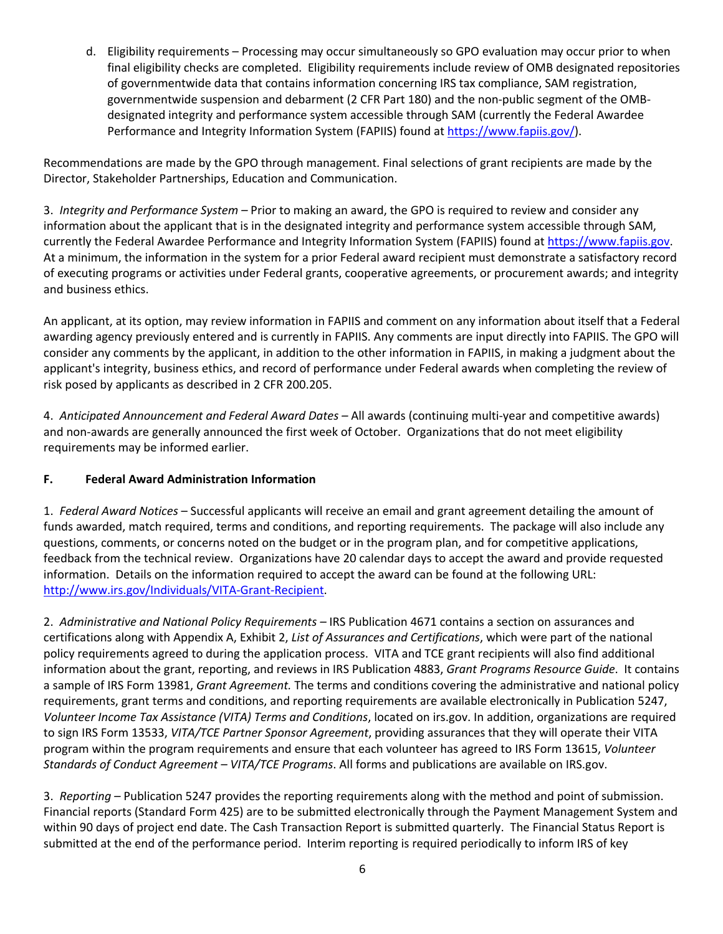d. Eligibility requirements – Processing may occur simultaneously so GPO evaluation may occur prior to when final eligibility checks are completed. Eligibility requirements include review of OMB designated repositories of governmentwide data that contains information concerning IRS tax compliance, SAM registration, governmentwide suspension and debarment (2 CFR Part 180) and the non-public segment of the OMBdesignated integrity and performance system accessible through SAM (currently the Federal Awardee Performance and Integrity Information System (FAPIIS) found at https://www.fapiis.gov/).

Recommendations are made by the GPO through management. Final selections of grant recipients are made by the Director, Stakeholder Partnerships, Education and Communication.

3. *Integrity and Performance System –* Prior to making an award, the GPO is required to review and consider any information about the applicant that is in the designated integrity and performance system accessible through SAM, currently the Federal Awardee Performance and Integrity Information System (FAPIIS) found at https://www.fapiis.gov. At a minimum, the information in the system for a prior Federal award recipient must demonstrate a satisfactory record of executing programs or activities under Federal grants, cooperative agreements, or procurement awards; and integrity and business ethics.

An applicant, at its option, may review information in FAPIIS and comment on any information about itself that a Federal awarding agency previously entered and is currently in FAPIIS. Any comments are input directly into FAPIIS. The GPO will consider any comments by the applicant, in addition to the other information in FAPIIS, in making a judgment about the applicant's integrity, business ethics, and record of performance under Federal awards when completing the review of risk posed by applicants as described in 2 CFR 200.205.

4. *Anticipated Announcement and Federal Award Dates –* All awards (continuing multi-year and competitive awards) and non-awards are generally announced the first week of October. Organizations that do not meet eligibility requirements may be informed earlier.

# **F. Federal Award Administration Information**

1. *Federal Award Notices* – Successful applicants will receive an email and grant agreement detailing the amount of funds awarded, match required, terms and conditions, and reporting requirements. The package will also include any questions, comments, or concerns noted on the budget or in the program plan, and for competitive applications, feedback from the technical review. Organizations have 20 calendar days to accept the award and provide requested information. Details on the information required to accept the award can be found at the following URL: http://www.irs.gov/Individuals/VITA-Grant-Recipient.

2. *Administrative and National Policy Requirements –* IRS Publication 4671 contains a section on assurances and certifications along with Appendix A, Exhibit 2, *List of Assurances and Certifications*, which were part of the national policy requirements agreed to during the application process. VITA and TCE grant recipients will also find additional information about the grant, reporting, and reviews in IRS Publication 4883, *Grant Programs Resource Guide*. It contains a sample of IRS Form 13981, *Grant Agreement.* The terms and conditions covering the administrative and national policy requirements, grant terms and conditions, and reporting requirements are available electronically in Publication 5247, *Volunteer Income Tax Assistance (VITA) Terms and Conditions*, located on irs.gov. In addition, organizations are required to sign IRS Form 13533, *VITA/TCE Partner Sponsor Agreement*, providing assurances that they will operate their VITA program within the program requirements and ensure that each volunteer has agreed to IRS Form 13615, *Volunteer Standards of Conduct Agreement – VITA/TCE Programs*. All forms and publications are available on IRS.gov.

3. *Reporting –* Publication 5247 provides the reporting requirements along with the method and point of submission. Financial reports (Standard Form 425) are to be submitted electronically through the Payment Management System and within 90 days of project end date. The Cash Transaction Report is submitted quarterly. The Financial Status Report is submitted at the end of the performance period. Interim reporting is required periodically to inform IRS of key